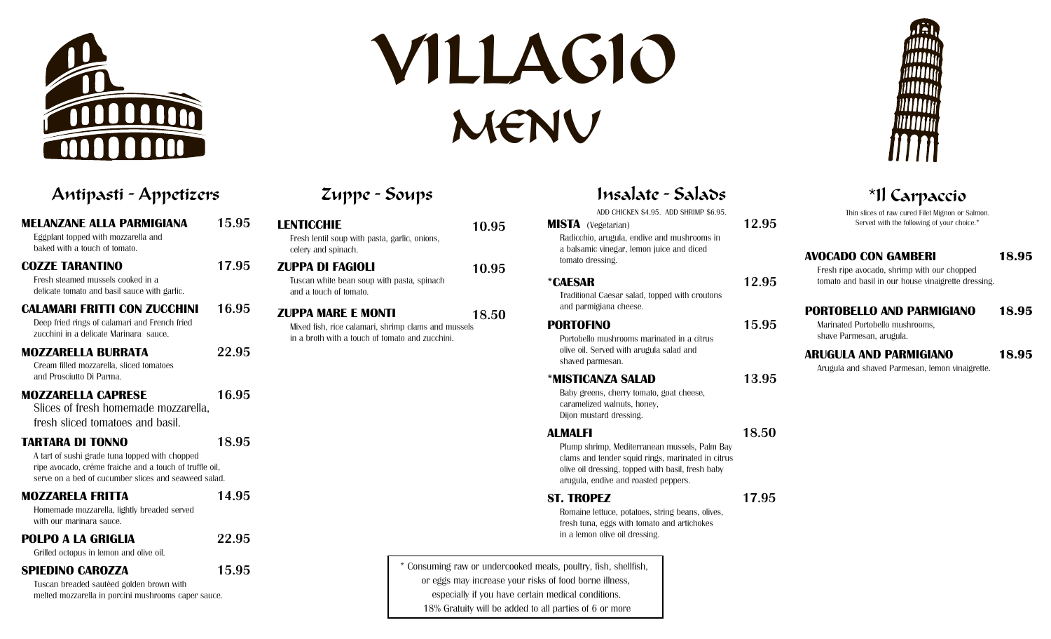

# VILLAGIO MENU

### **MELANZANE ALLA PARMIGIANA 15.95** Eggplant topped with mozzarella and baked with a touch of tomato. **COZZE TARANTINO 17.95** Fresh steamed mussels cooked in a delicate tomato and basil sauce with garlic. **CALAMARI FRITTI CON ZUCCHINI 16.95** Deep fried rings of calamari and French fried zucchini in a delicate Marinara sauce. **MOZZARELLA BURRATA 22.95** Cream filled mozzarella, sliced tomatoes and Prosciutto Di Parma. **MOZZARELLA CAPRESE 16.95** Slices of fresh homemade mozzarella, fresh sliced tomatoes and basil. **TARTARA DI TONNO 18.95** A tart of sushi grade tuna topped with chopped ripe avocado, crème fraiche and a touch of truffle oil, serve on a bed of cucumber slices and seaweed salad. **MOZZARELA FRITTA 14.95** Homemade mozzarella, lightly breaded served with our marinara sauce. **SPIEDINO CAROZZA 15.95 POLPO A LA GRIGLIA 22.95** Grilled octopus in lemon and olive oil.

Tuscan breaded sautéed golden brown with melted mozzarella in porcini mushrooms caper sauce.

# Zuppe - Soups

| <b>LENTICCHIE</b> | Fresh lentil soup with pasta, garlic, onions,<br>celery and spinach.                                                                | 10.95 |
|-------------------|-------------------------------------------------------------------------------------------------------------------------------------|-------|
|                   | ZUPPA DI FAGIOLI<br>Tuscan white bean soup with pasta, spinach<br>and a touch of tomato.                                            | 10.95 |
|                   | <b>ZUPPA MARE E MONTI</b><br>Mixed fish, rice calamari, shrimp clams and mussels<br>in a broth with a touch of tomato and zucchini. | 18.50 |
|                   |                                                                                                                                     |       |

# Antipasti - Appetizers \*Il Carpaccio

ADD CHICKEN \$4.95. ADD SHRIMP \$6.95.

#### **MISTA** (Vegetarian) **12.95** Radicchio, arugula, endive and mushrooms in a balsamic vinegar, lemon juice and diced

#### **\*CAESAR 12.95**

tomato dressing.

Traditional Caesar salad, topped with croutons and parmigiana cheese.

Portobello mushrooms marinated in a citrus olive oil. Served with arugula salad and shaved parmesan.

#### **\*MISTICANZA SALAD 13.95**

Baby greens, cherry tomato, goat cheese, caramelized walnuts, honey, Dijon mustard dressing.

#### **ALMALFI 18.50**

Plump shrimp, Mediterranean mussels, Palm Bay clams and tender squid rings, marinated in citrus olive oil dressing, topped with basil, fresh baby arugula, endive and roasted peppers.

### **ST. TROPEZ 17.95**

Romaine lettuce, potatoes, string beans, olives, fresh tuna, eggs with tomato and artichokes in a lemon olive oil dressing.

\* Consuming raw or undercooked meats, poultry, fish, shellfish, or eggs may increase your risks of food borne illness, especially if you have certain medical conditions. 18% Gratuity will be added to all parties of 6 or more

Fresh ripe avocado, shrimp with our chopped tomato and basil in our house vinaigrette dressing.

#### **PORTOBELLO AND PARMIGIANO 18.95**

Marinated Portobello mushrooms, shave Parmesan, arugula.

#### **ARUGULA AND PARMIGIANO 18.95**

Arugula and shaved Parmesan, lemon vinaigrette.

Thin slices of raw cured Filet Mignon or Salmon. Served with the following of your choice.\*

**AVOCADO CON GAMBERI 18.95**

# **PORTOFINO 15.95**